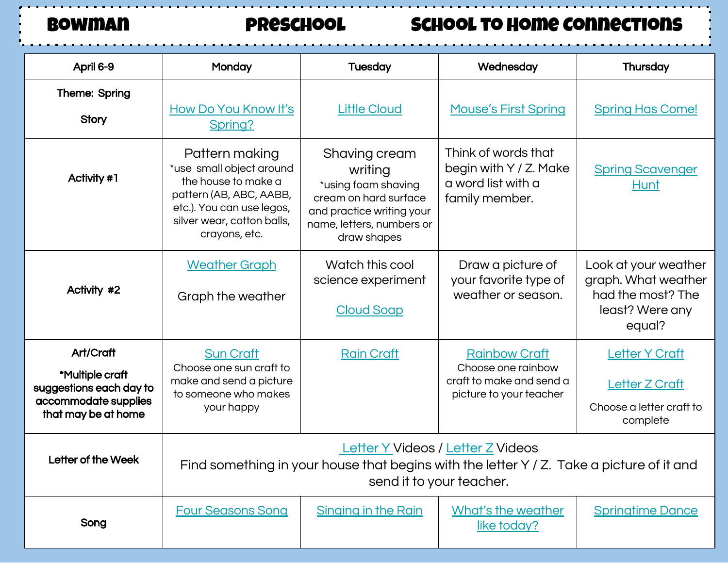Bowman preschool School to Home Connections

| April 6-9                                                                                              | Monday                                                                                                                                                                   | <b>Tuesday</b>                                                                                                                                    | Wednesday                                                                                         | Thursday                                                                                      |  |
|--------------------------------------------------------------------------------------------------------|--------------------------------------------------------------------------------------------------------------------------------------------------------------------------|---------------------------------------------------------------------------------------------------------------------------------------------------|---------------------------------------------------------------------------------------------------|-----------------------------------------------------------------------------------------------|--|
| Theme: Spring<br><b>Story</b>                                                                          | How Do You Know It's<br>Spring?                                                                                                                                          | <b>Little Cloud</b>                                                                                                                               | <b>Mouse's First Spring</b>                                                                       | <b>Spring Has Come!</b>                                                                       |  |
| Activity #1                                                                                            | Pattern making<br>*use small object around<br>the house to make a<br>pattern (AB, ABC, AABB,<br>etc.). You can use legos,<br>silver wear, cotton balls,<br>crayons, etc. | Shaving cream<br>writing<br>*using foam shaving<br>cream on hard surface<br>and practice writing your<br>name, letters, numbers or<br>draw shapes | Think of words that<br>begin with Y / Z. Make<br>a word list with a<br>family member.             | <b>Spring Scavenger</b><br><b>Hunt</b>                                                        |  |
| Activity #2                                                                                            | <b>Weather Graph</b><br>Graph the weather                                                                                                                                | Watch this cool<br>science experiment<br><b>Cloud Soap</b>                                                                                        | Draw a picture of<br>your favorite type of<br>weather or season.                                  | Look at your weather<br>graph. What weather<br>had the most? The<br>least? Were any<br>equal? |  |
| Art/Craft<br>*Multiple craft<br>suggestions each day to<br>accommodate supplies<br>that may be at home | <b>Sun Craft</b><br>Choose one sun craft to<br>make and send a picture<br>to someone who makes<br>your happy                                                             | <b>Rain Craft</b>                                                                                                                                 | <b>Rainbow Craft</b><br>Choose one rainbow<br>craft to make and send a<br>picture to your teacher | <b>Letter Y Craft</b><br><b>Letter Z Craft</b><br>Choose a letter craft to<br>complete        |  |
| Letter of the Week                                                                                     | Letter Y Videos / Letter Z Videos<br>Find something in your house that begins with the letter Y / Z. Take a picture of it and<br>send it to your teacher.                |                                                                                                                                                   |                                                                                                   |                                                                                               |  |
| Song                                                                                                   | <b>Four Seasons Song</b>                                                                                                                                                 | <b>Singing in the Rain</b>                                                                                                                        | What's the weather<br>like today?                                                                 | <b>Springtime Dance</b>                                                                       |  |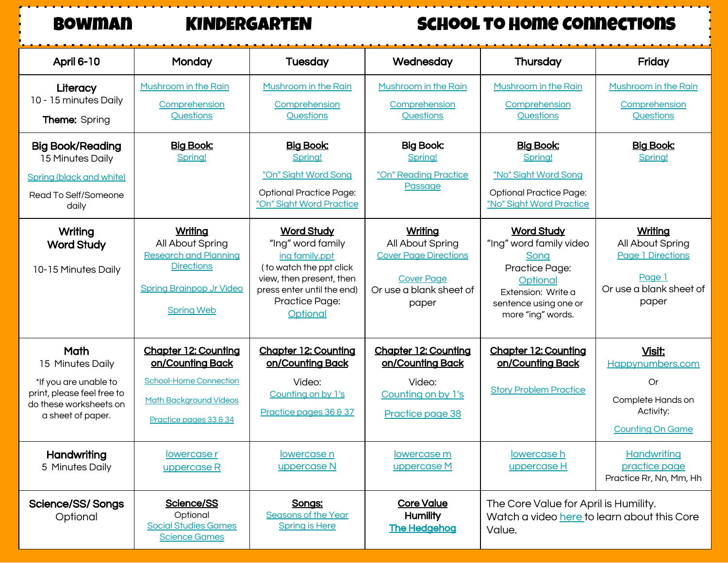# Bowman KINDERGARTEN School to Home Connections

| <b>April 6-10</b>                                                                                                              | Monday                                                                                                                                      | <b>Tuesday</b>                                                                                                                                                               | Wednesday                                                                                                            | Thursday                                                                                                                                               | Friday                                                                                                |
|--------------------------------------------------------------------------------------------------------------------------------|---------------------------------------------------------------------------------------------------------------------------------------------|------------------------------------------------------------------------------------------------------------------------------------------------------------------------------|----------------------------------------------------------------------------------------------------------------------|--------------------------------------------------------------------------------------------------------------------------------------------------------|-------------------------------------------------------------------------------------------------------|
| Literacy<br>10 - 15 minutes Daily<br><b>Theme:</b> Spring                                                                      | Mushroom in the Rain<br>Comprehension<br>Questions                                                                                          | Mushroom in the Rain<br>Comprehension<br>Questions                                                                                                                           | Mushroom in the Rain<br>Comprehension<br>Questions                                                                   | Mushroom in the Rain<br>Comprehension<br>Questions                                                                                                     | Mushroom in the Rain<br>Comprehension<br>Questions                                                    |
| <b>Big Book/Reading</b><br>15 Minutes Daily<br><b>Spring (black and white)</b><br>Read To Self/Someone<br>daily                | <b>Big Book:</b><br>Spring!                                                                                                                 | <b>Big Book:</b><br>Spring!<br>"On" Sight Word Song<br><b>Optional Practice Page:</b><br>"On" Sight Word Practice                                                            | <b>Big Book:</b><br>Spring!<br>"On" Reading Practice<br>Passage                                                      | <b>Big Book:</b><br>Spring!<br>"No" Sight Word Song<br><b>Optional Practice Page:</b><br>"No" Sight Word Practice                                      | <b>Big Book:</b><br>Spring!                                                                           |
| Writing<br><b>Word Study</b><br>10-15 Minutes Daily                                                                            | Writing<br>All About Spring<br><b>Research and Planning</b><br><b>Directions</b><br><b>Spring Brainpop Jr Video</b><br><b>Spring Web</b>    | <b>Word Study</b><br>"Ing" word family<br>ing family.ppt<br>( to watch the ppt click<br>view, then present, then<br>press enter until the end)<br>Practice Page:<br>Optional | Writing<br>All About Spring<br><b>Cover Page Directions</b><br><b>Cover Page</b><br>Or use a blank sheet of<br>paper | <b>Word Study</b><br>"Ing" word family video<br>Song<br>Practice Page:<br>Optional<br>Extension: Write a<br>sentence using one or<br>more "ing" words. | Writing<br>All About Spring<br><b>Page 1 Directions</b><br>Page 1<br>Or use a blank sheet of<br>paper |
| Math<br>15 Minutes Daily<br>*If you are unable to<br>print, please feel free to<br>do these worksheets on<br>a sheet of paper. | <b>Chapter 12: Counting</b><br>on/Counting Back<br><b>School-Home Connection</b><br><b>Math Background Videos</b><br>Practice pages 33 & 34 | <b>Chapter 12: Counting</b><br>on/Counting Back<br>Video:<br>Counting on by 1's<br>Practice pages 36 & 37                                                                    | <b>Chapter 12: Counting</b><br>on/Counting Back<br>Video:<br>Counting on by 1's<br>Practice page 38                  | <b>Chapter 12: Counting</b><br>on/Counting Back<br><b>Story Problem Practice</b>                                                                       | Visit:<br>Happynumbers.com<br>Or<br>Complete Hands on<br>Activity:<br><b>Counting On Game</b>         |
| Handwriting<br>5 Minutes Daily                                                                                                 | lowercase r<br>uppercase R                                                                                                                  | lowercase n<br>uppercase N                                                                                                                                                   | lowercase m<br>uppercase M                                                                                           | lowercase h<br>uppercase H                                                                                                                             | Handwriting<br>practice page<br>Practice Rr, Nn, Mm, Hh                                               |
| <b>Science/SS/ Songs</b><br>Optional                                                                                           | Science/SS<br>Optional<br><b>Social Studies Games</b><br><b>Science Games</b>                                                               | Songs:<br><b>Seasons of the Year</b><br><b>Spring is Here</b>                                                                                                                | <b>Core Value</b><br>Humility<br><b>The Hedgehog</b>                                                                 | The Core Value for April is Humility.<br>Watch a video here to learn about this Core<br>Value.                                                         |                                                                                                       |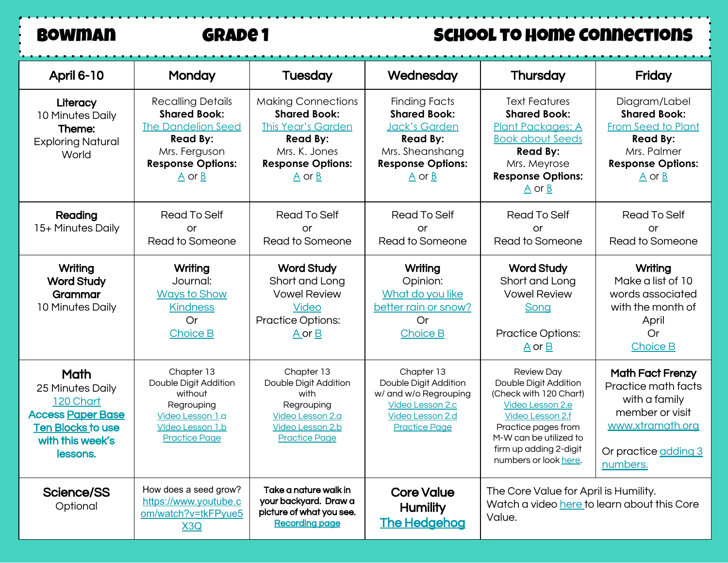# BOWMAN GRADE 1 SCHOOL TO HOME CONNECTIONS

| April 6-10                                                                                                                    | Monday                                                                                                                                                                             | <b>Tuesday</b>                                                                                                                                                                      | Wednesday                                                                                                                                                                   | Thursday                                                                                                                                                                                                                | Friday                                                                                                                                                                |
|-------------------------------------------------------------------------------------------------------------------------------|------------------------------------------------------------------------------------------------------------------------------------------------------------------------------------|-------------------------------------------------------------------------------------------------------------------------------------------------------------------------------------|-----------------------------------------------------------------------------------------------------------------------------------------------------------------------------|-------------------------------------------------------------------------------------------------------------------------------------------------------------------------------------------------------------------------|-----------------------------------------------------------------------------------------------------------------------------------------------------------------------|
| Literacy<br>10 Minutes Daily<br>Theme:<br><b>Exploring Natural</b><br>World                                                   | <b>Recalling Details</b><br><b>Shared Book:</b><br><b>The Dandelion Seed</b><br><b>Read By:</b><br>Mrs. Ferguson<br><b>Response Options:</b><br>$\underline{A}$ or $\underline{B}$ | <b>Making Connections</b><br><b>Shared Book:</b><br><b>This Year's Garden</b><br><b>Read By:</b><br>Mrs. K. Jones<br><b>Response Options:</b><br>$\underline{A}$ or $\underline{B}$ | <b>Finding Facts</b><br><b>Shared Book:</b><br><b>Jack's Garden</b><br><b>Read By:</b><br>Mrs. Sheanshang<br><b>Response Options:</b><br>$\underline{A}$ or $\underline{B}$ | <b>Text Features</b><br><b>Shared Book:</b><br><b>Plant Packages: A</b><br><b>Book about Seeds</b><br><b>Read By:</b><br>Mrs. Meyrose<br><b>Response Options:</b><br>$\underline{A}$ or $\underline{B}$                 | Diagram/Label<br><b>Shared Book:</b><br><b>From Seed to Plant</b><br><b>Read By:</b><br>Mrs. Palmer<br><b>Response Options:</b><br>$\underline{A}$ or $\underline{B}$ |
| Reading<br>15+ Minutes Daily                                                                                                  | Read To Self<br>or<br>Read to Someone                                                                                                                                              | Read To Self<br>or<br>Read to Someone                                                                                                                                               | Read To Self<br>or<br>Read to Someone                                                                                                                                       | Read To Self<br>or<br>Read to Someone                                                                                                                                                                                   | <b>Read To Self</b><br>or<br>Read to Someone                                                                                                                          |
| Writing<br><b>Word Study</b><br>Grammar<br>10 Minutes Daily                                                                   | Writing<br>Journal:<br><b>Ways to Show</b><br><b>Kindness</b><br>Or<br><b>Choice B</b>                                                                                             | <b>Word Study</b><br>Short and Long<br><b>Vowel Review</b><br><b>Video</b><br><b>Practice Options:</b><br>$A$ or $B$                                                                | Writing<br>Opinion:<br>What do you like<br>better rain or snow?<br>Or<br><b>Choice B</b>                                                                                    | <b>Word Study</b><br>Short and Long<br><b>Vowel Review</b><br>Song<br><b>Practice Options:</b><br>$\underline{A}$ or $\underline{B}$                                                                                    | Writing<br>Make a list of 10<br>words associated<br>with the month of<br>April<br><b>Or</b><br>Choice B                                                               |
| Math<br>25 Minutes Daily<br>120 Chart<br><b>Access Paper Base</b><br><b>Ten Blocks to use</b><br>with this week's<br>lessons. | Chapter 13<br>Double Digit Addition<br>without<br>Regrouping<br>Video Lesson 1.a<br>Video Lesson 1.b<br><b>Practice Page</b>                                                       | Chapter 13<br>Double Digit Addition<br>with<br>Regrouping<br>Video Lesson 2.a<br>Video Lesson 2.b<br><b>Practice Page</b>                                                           | Chapter 13<br>Double Digit Addition<br>w/ and w/o Regrouping<br>Video Lesson 2.c<br>Video Lesson 2.d<br><b>Practice Page</b>                                                | <b>Review Day</b><br>Double Digit Addition<br>(Check with 120 Chart)<br>Video Lesson 2.e<br><b>Video Lesson 2.f</b><br>Practice pages from<br>M-W can be utilized to<br>firm up adding 2-digit<br>numbers or look here. | <b>Math Fact Frenzy</b><br>Practice math facts<br>with a family<br>member or visit<br>www.xtramath.org<br>Or practice adding 3<br>numbers.                            |
| <b>Science/SS</b><br>Optional                                                                                                 | How does a seed grow?<br>https://www.youtube.c<br>om/watch?v=tkFPyue5<br>X3Q                                                                                                       | Take a nature walk in<br>your backyard. Draw a<br>picture of what you see.<br><b>Recording page</b>                                                                                 | <b>Core Value</b><br>Humility<br><b>The Hedgehog</b>                                                                                                                        | The Core Value for April is Humility.<br>Watch a video here to learn about this Core<br>Value.                                                                                                                          |                                                                                                                                                                       |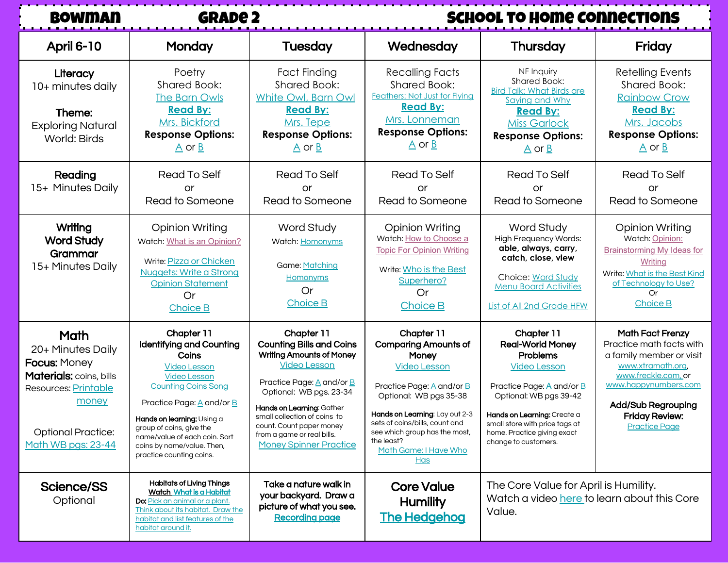| <b>BOWMAN</b>                                                                                                                                                   | <b>GRADE 2</b>                                                                                                                                                                                                                                                                                                       |                                                                                                                                                                                                                                                                                                                                                     | <b>SCHOOL TO HOME CONNECTIONS</b>                                                                                                                                                                                                                                                          |                                                                                                                                                                                                                                                                |                                                                                                                                                                                                                                   |
|-----------------------------------------------------------------------------------------------------------------------------------------------------------------|----------------------------------------------------------------------------------------------------------------------------------------------------------------------------------------------------------------------------------------------------------------------------------------------------------------------|-----------------------------------------------------------------------------------------------------------------------------------------------------------------------------------------------------------------------------------------------------------------------------------------------------------------------------------------------------|--------------------------------------------------------------------------------------------------------------------------------------------------------------------------------------------------------------------------------------------------------------------------------------------|----------------------------------------------------------------------------------------------------------------------------------------------------------------------------------------------------------------------------------------------------------------|-----------------------------------------------------------------------------------------------------------------------------------------------------------------------------------------------------------------------------------|
| <b>April 6-10</b>                                                                                                                                               | Monday                                                                                                                                                                                                                                                                                                               | <b>Tuesday</b>                                                                                                                                                                                                                                                                                                                                      | Wednesday                                                                                                                                                                                                                                                                                  | Thursday                                                                                                                                                                                                                                                       | Friday                                                                                                                                                                                                                            |
| Literacy<br>10+ minutes daily<br>Theme:<br><b>Exploring Natural</b><br>World: Birds                                                                             | Poetry<br><b>Shared Book:</b><br><b>The Barn Owls</b><br><b>Read By:</b><br>Mrs. Bickford<br><b>Response Options:</b><br>$\underline{A}$ or $\underline{B}$                                                                                                                                                          | <b>Fact Finding</b><br><b>Shared Book:</b><br>White Owl, Barn Owl<br><b>Read By:</b><br>Mrs. Tepe<br><b>Response Options:</b><br>$\underline{A}$ or $\underline{B}$                                                                                                                                                                                 | Recalling Facts<br><b>Shared Book:</b><br><b>Feathers: Not Just for Flying</b><br><b>Read By:</b><br>Mrs. Lonneman<br><b>Response Options:</b><br>$\underline{A}$ or $\underline{B}$                                                                                                       | NF Inquiry<br>Shared Book:<br><b>Bird Talk: What Birds are</b><br>Saying and Why<br><b>Read By:</b><br><b>Miss Garlock</b><br><b>Response Options:</b><br>$\underline{A}$ or $\underline{B}$                                                                   | Retelling Events<br><b>Shared Book:</b><br><b>Rainbow Crow</b><br><b>Read By:</b><br>Mrs. Jacobs<br><b>Response Options:</b><br>$\underline{A}$ or $\underline{B}$                                                                |
| Reading<br>15+ Minutes Daily                                                                                                                                    | <b>Read To Self</b><br><b>or</b><br>Read to Someone                                                                                                                                                                                                                                                                  | Read To Self<br><b>or</b><br>Read to Someone                                                                                                                                                                                                                                                                                                        | Read To Self<br>or<br>Read to Someone                                                                                                                                                                                                                                                      | <b>Read To Self</b><br><b>or</b><br>Read to Someone                                                                                                                                                                                                            | <b>Read To Self</b><br>or<br>Read to Someone                                                                                                                                                                                      |
| Writing<br><b>Word Study</b><br>Grammar<br>15+ Minutes Daily                                                                                                    | <b>Opinion Writing</b><br>Watch: What is an Opinion?<br>Write: Pizza or Chicken<br><b>Nuggets: Write a Strong</b><br><b>Opinion Statement</b><br>Or<br><b>Choice B</b>                                                                                                                                               | Word Study<br>Watch: Homonyms<br>Game: Matching<br><b>Homonyms</b><br>Or<br><b>Choice B</b>                                                                                                                                                                                                                                                         | <b>Opinion Writing</b><br>Watch: How to Choose a<br><b>Topic For Opinion Writing</b><br>Write: Who is the Best<br>Superhero?<br>Or<br>Choice B                                                                                                                                             | Word Study<br><b>High Frequency Words:</b><br>able, always, carry,<br>catch, close, view<br>Choice: Word Study<br><b>Menu Board Activities</b><br><b>List of All 2nd Grade HFW</b>                                                                             | <b>Opinion Writing</b><br>Watch: Opinion:<br><b>Brainstorming My Ideas for</b><br><b>Writing</b><br>Write: What is the Best Kind<br>of Technology to Use?<br>Or<br>Choice B                                                       |
| Math<br>20+ Minutes Daily<br><b>Focus: Money</b><br>Materials: coins, bills<br>Resources: Printable<br>money<br><b>Optional Practice:</b><br>Math WB pgs: 23-44 | Chapter 11<br><b>Identifying and Counting</b><br>Coins<br><b>Video Lesson</b><br><b>Video Lesson</b><br><b>Counting Coins Song</b><br>Practice Page: A and/or B<br>Hands on learning: Using a<br>group of coins, give the<br>name/value of each coin. Sort<br>coins by name/value. Then,<br>practice counting coins. | Chapter 11<br><b>Counting Bills and Coins</b><br><b>Writing Amounts of Money</b><br><b>Video Lesson</b><br>Practice Page: $\underline{A}$ and/or $\underline{B}$<br>Optional: WB pgs. 23-34<br>Hands on Learning: Gather<br>small collection of coins to<br>count. Count paper money<br>from a game or real bills.<br><b>Money Spinner Practice</b> | Chapter 11<br><b>Comparing Amounts of</b><br>Money<br><b>Video Lesson</b><br>Practice Page: A and/or B<br>Optional: WB pgs 35-38<br>Hands on Learning: Lay out 2-3<br>sets of coins/bills, count and<br>see which group has the most,<br>the least?<br>Math Game: I Have Who<br><u>Has</u> | Chapter 11<br><b>Real-World Money</b><br><b>Problems</b><br><b>Video Lesson</b><br>Practice Page: A and/or B<br>Optional: WB pgs 39-42<br>Hands on Learning: Create a<br>small store with price tags at<br>home. Practice giving exact<br>change to customers. | <b>Math Fact Frenzy</b><br>Practice math facts with<br>a family member or visit<br>www.xtramath.org.<br>www.freckle.com, or<br>www.happynumbers.com<br><b>Add/Sub Regrouping</b><br><b>Friday Review:</b><br><b>Practice Page</b> |
| <b>Science/SS</b><br>Optional                                                                                                                                   | <b>Habitats of Living Things</b><br>Watch What is a Habitat<br><b>Do:</b> Pick an animal or a plant.<br>Think about its habitat. Draw the<br>habitat and list features of the                                                                                                                                        | Take a nature walk in<br>your backyard. Draw a<br>picture of what you see.<br><b>Recording page</b>                                                                                                                                                                                                                                                 | <b>Core Value</b><br><b>Humility</b><br><b>The Hedgehog</b>                                                                                                                                                                                                                                | The Core Value for April is Humility.<br>Watch a video here to learn about this Core<br>Value.                                                                                                                                                                 |                                                                                                                                                                                                                                   |

[habitat around it.](https://drive.google.com/file/d/1zClcEzE6iynLwcd3jNGSuuNonnskmA7l/view?usp=sharing)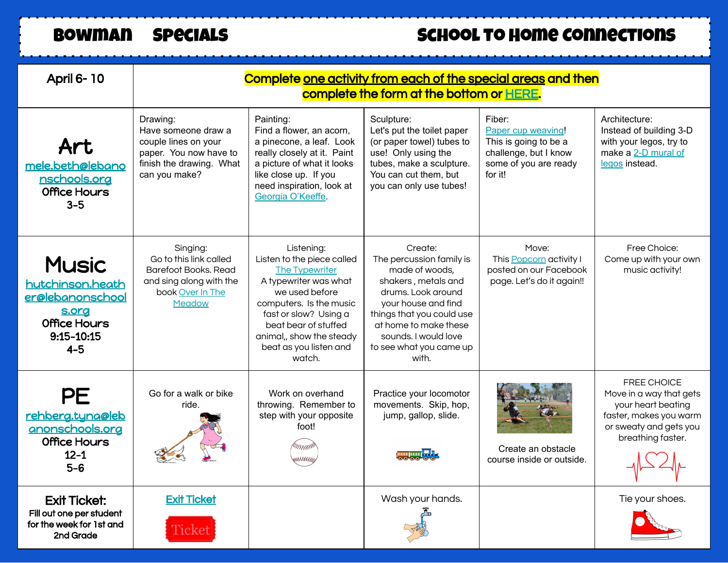## BOWMAN SPECIALS SCHOOL TO HOME CONNECTIONS

| <b>April 6-10</b>                                                                                             | Complete one activity from each of the special areas and then<br>complete the form at the bottom or HERE.                      |                                                                                                                                                                                                                                                   |                                                                                                                                                                                                                                             |                                                                                                                    |                                                                                                                                              |
|---------------------------------------------------------------------------------------------------------------|--------------------------------------------------------------------------------------------------------------------------------|---------------------------------------------------------------------------------------------------------------------------------------------------------------------------------------------------------------------------------------------------|---------------------------------------------------------------------------------------------------------------------------------------------------------------------------------------------------------------------------------------------|--------------------------------------------------------------------------------------------------------------------|----------------------------------------------------------------------------------------------------------------------------------------------|
| Art<br>mele.beth@lebano<br>nschools.org<br>Office Hours<br>$3-5$                                              | Drawing:<br>Have someone draw a<br>couple lines on your<br>paper. You now have to<br>finish the drawing. What<br>can you make? | Painting:<br>Find a flower, an acorn,<br>a pinecone, a leaf. Look<br>really closely at it. Paint<br>a picture of what it looks<br>like close up. If you<br>need inspiration, look at<br>Georgia O'Keeffe.                                         | Sculpture:<br>Let's put the toilet paper<br>(or paper towel) tubes to<br>use! Only using the<br>tubes, make a sculpture.<br>You can cut them, but<br>you can only use tubes!                                                                | Fiber:<br>Paper cup weaving!<br>This is going to be a<br>challenge, but I know<br>some of you are ready<br>for it! | Architecture:<br>Instead of building 3-D<br>with your legos, try to<br>make a 2-D mural of<br>legos instead.                                 |
| <b>Music</b><br>hutchinson.heath<br>er@lebanonschool<br><u>s.org</u><br>Office Hours<br>9:15-10:15<br>$4 - 5$ | Singing:<br>Go to this link called<br>Barefoot Books. Read<br>and sing along with the<br>book Over In The<br>Meadow            | Listening:<br>Listen to the piece called<br>The Typewriter<br>A typewriter was what<br>we used before<br>computers. Is the music<br>fast or slow? Using a<br>beat bear of stuffed<br>animal,, show the steady<br>beat as you listen and<br>watch. | Create:<br>The percussion family is<br>made of woods,<br>shakers, metals and<br>drums. Look around<br>your house and find<br>things that you could use<br>at home to make these<br>sounds. I would love<br>to see what you came up<br>with. | Move:<br>This Popcorn activity I<br>posted on our Facebook<br>page. Let's do it again!!                            | Free Choice:<br>Come up with your own<br>music activity!                                                                                     |
| <b>PE</b><br><u>rehberg.tyna@leb</u><br>anonschools.org<br>Office Hours<br>$12 - 1$<br>$5-6$                  | Go for a walk or bike<br>ride.                                                                                                 | Work on overhand<br>throwing. Remember to<br>step with your opposite<br>foot!<br>グリハハバ                                                                                                                                                            | Practice your locomotor<br>movements. Skip, hop,<br>jump, gallop, slide.                                                                                                                                                                    | Create an obstacle<br>course inside or outside.                                                                    | <b>FREE CHOICE</b><br>Move in a way that gets<br>your heart beating<br>faster, makes you warm<br>or sweaty and gets you<br>breathing faster. |
| <b>Exit Ticket:</b><br>Fill out one per student<br>for the week for 1st and<br>2nd Grade                      | <b>Exit Ticket</b><br>Ticket                                                                                                   |                                                                                                                                                                                                                                                   | Wash your hands.                                                                                                                                                                                                                            |                                                                                                                    | Tie your shoes.                                                                                                                              |